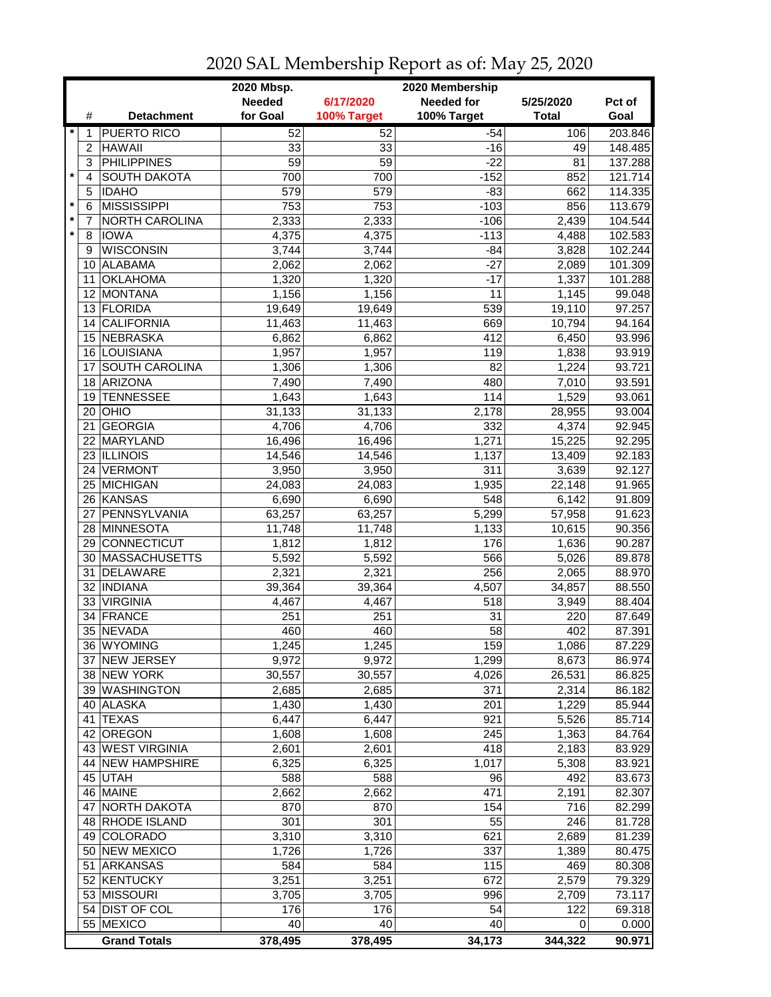| <b>Needed</b><br>6/17/2020<br><b>Needed for</b><br>5/25/2020<br>for Goal<br>100% Target<br>#<br><b>Detachment</b><br>100% Target<br><b>Total</b><br>Goal<br>$\star$<br><b>PUERTO RICO</b><br>52<br>52<br>$-54$<br>106<br>1<br><b>HAWAII</b><br>33<br>33<br>$-16$<br>$\overline{c}$<br>49<br><b>PHILIPPINES</b><br>59<br>59<br>$-22$<br>81<br>3<br>$\star$<br><b>SOUTH DAKOTA</b><br>700<br>700<br>$-152$<br>4<br>852<br><b>IDAHO</b><br>579<br>579<br>$-83$<br>662<br>5<br>$\star$<br><b>MISSISSIPPI</b><br>753<br>753<br>$-103$<br>856<br>6<br>$\star$<br>$-106$<br>NORTH CAROLINA<br>2,333<br>2,333<br>2,439<br>7<br>$\star$<br>$-113$<br><b>IOWA</b><br>4,375<br>4,375<br>4,488<br>8<br><b>WISCONSIN</b><br>3,744<br>3,744<br>$-84$<br>3,828<br>9<br>$-27$<br>ALABAMA<br>2,062<br>2,062<br>2,089<br>10<br><b>OKLAHOMA</b><br>1,320<br>1,320<br>$-17$<br>1,337<br>11<br>12 MONTANA<br>1,156<br>1,156<br>11<br>1,145<br>13 FLORIDA<br>19,649<br>19,649<br>539<br>19,110<br><b>CALIFORNIA</b><br>11,463<br>669<br>10,794<br>14<br>11,463<br>15 NEBRASKA<br>412<br>6,450<br>6,862<br>6,862<br>16 LOUISIANA<br>1,957<br>119<br>1,838<br>1,957<br>SOUTH CAROLINA<br>1,224<br>1,306<br>1,306<br>82<br>17<br>18 ARIZONA<br>7,490<br>7,490<br>480<br>7,010<br><b>TENNESSEE</b><br>114<br>1,643<br>1,643<br>1,529<br>19<br>OHIO<br>31,133<br>31,133<br>2,178<br>28,955<br>20 I<br><b>GEORGIA</b><br>4,706<br>4,706<br>332<br>4,374<br>21<br>MARYLAND<br>16,496<br>16,496<br>1,271<br>15,225<br>22<br>23 ILLINOIS<br>14,546<br>14,546<br>1,137<br>13,409<br>24 VERMONT<br>3,950<br>3,950<br>311<br>3,639<br>24,083<br>1,935<br>25 MICHIGAN<br>24,083<br>22,148<br>26 KANSAS<br>6,690<br>548<br>6,690<br>6,142<br>PENNSYLVANIA<br>5,299<br>63,257<br>63,257<br>57,958<br>27<br>28 MINNESOTA<br>11,748<br>11,748<br>1,133<br>10,615<br>29 CONNECTICUT<br>1,812<br>1,812<br>176<br>1,636<br>MASSACHUSETTS<br>5,592<br>5,592<br>566<br>5,026<br>30<br>DELAWARE<br>2,321<br>2,321<br>256<br>31<br>2,065<br><b>INDIANA</b><br>4,507<br>32<br>39,364<br>39,364<br>34,857<br><b>VIRGINIA</b><br>33 <sup>1</sup><br>4,467<br>4,467<br>518<br>3,949<br>31<br>34<br>FRANCE<br>251<br>251<br>220<br>35 NEVADA<br>460<br>460<br>58<br>402<br>36 IWYOMING<br>1,245<br>1,245<br>159<br>1,086<br>37 NEW JERSEY<br>9,972<br>9,972<br>1,299<br>8,673<br>38 NEW YORK<br>30,557<br>30,557<br>4,026<br>26,531<br>371<br>39 WASHINGTON<br>2,685<br>2,685<br>2,314<br>40 ALASKA<br>201<br>1,430<br>1,430<br>1,229<br>921<br>41 TEXAS<br>6,447<br>6,447<br>5,526<br>42 OREGON<br>1,608<br>1,608<br>245<br>1,363<br>43 WEST VIRGINIA<br>2,601<br>418<br>2,601<br>2,183<br>44 NEW HAMPSHIRE<br>1,017<br>6,325<br>6,325<br>5,308<br>588<br>588<br>45 UTAH<br>96<br>492<br>2,662<br>471<br>46 MAINE<br>2,662<br>2,191<br>NORTH DAKOTA<br>870<br>870<br>154<br>716<br>47<br>48 RHODE ISLAND<br>301<br>301<br>55<br>246<br>3,310<br>49 COLORADO<br>3,310<br>621<br>2,689<br>50 NEW MEXICO<br>1,726<br>1,726<br>337<br>1,389<br>51 ARKANSAS<br>584<br>584<br>115<br>469<br>672<br>3,251<br>52 KENTUCKY<br>3,251<br>2,579<br>53 MISSOURI<br>996<br>3,705<br>3,705<br>2,709<br>54 DIST OF COL<br>54<br>176<br>176<br>122<br>40<br>40<br>55 MEXICO<br>40<br>0 |  |                     | 2020 Mbsp. |         | 2020 Membership |         |         |
|---------------------------------------------------------------------------------------------------------------------------------------------------------------------------------------------------------------------------------------------------------------------------------------------------------------------------------------------------------------------------------------------------------------------------------------------------------------------------------------------------------------------------------------------------------------------------------------------------------------------------------------------------------------------------------------------------------------------------------------------------------------------------------------------------------------------------------------------------------------------------------------------------------------------------------------------------------------------------------------------------------------------------------------------------------------------------------------------------------------------------------------------------------------------------------------------------------------------------------------------------------------------------------------------------------------------------------------------------------------------------------------------------------------------------------------------------------------------------------------------------------------------------------------------------------------------------------------------------------------------------------------------------------------------------------------------------------------------------------------------------------------------------------------------------------------------------------------------------------------------------------------------------------------------------------------------------------------------------------------------------------------------------------------------------------------------------------------------------------------------------------------------------------------------------------------------------------------------------------------------------------------------------------------------------------------------------------------------------------------------------------------------------------------------------------------------------------------------------------------------------------------------------------------------------------------------------------------------------------------------------------------------------------------------------------------------------------------------------------------------------------------------------------------------------------------------------------------------------------------------------------------------------------------------------------------------------------------------------------------------------------------------------------------------------------------------------------------------------------------------------------------------------------------------------------------------------------------------|--|---------------------|------------|---------|-----------------|---------|---------|
|                                                                                                                                                                                                                                                                                                                                                                                                                                                                                                                                                                                                                                                                                                                                                                                                                                                                                                                                                                                                                                                                                                                                                                                                                                                                                                                                                                                                                                                                                                                                                                                                                                                                                                                                                                                                                                                                                                                                                                                                                                                                                                                                                                                                                                                                                                                                                                                                                                                                                                                                                                                                                                                                                                                                                                                                                                                                                                                                                                                                                                                                                                                                                                                                                     |  |                     |            |         |                 |         | Pct of  |
|                                                                                                                                                                                                                                                                                                                                                                                                                                                                                                                                                                                                                                                                                                                                                                                                                                                                                                                                                                                                                                                                                                                                                                                                                                                                                                                                                                                                                                                                                                                                                                                                                                                                                                                                                                                                                                                                                                                                                                                                                                                                                                                                                                                                                                                                                                                                                                                                                                                                                                                                                                                                                                                                                                                                                                                                                                                                                                                                                                                                                                                                                                                                                                                                                     |  |                     |            |         |                 |         |         |
|                                                                                                                                                                                                                                                                                                                                                                                                                                                                                                                                                                                                                                                                                                                                                                                                                                                                                                                                                                                                                                                                                                                                                                                                                                                                                                                                                                                                                                                                                                                                                                                                                                                                                                                                                                                                                                                                                                                                                                                                                                                                                                                                                                                                                                                                                                                                                                                                                                                                                                                                                                                                                                                                                                                                                                                                                                                                                                                                                                                                                                                                                                                                                                                                                     |  |                     |            |         |                 |         | 203.846 |
|                                                                                                                                                                                                                                                                                                                                                                                                                                                                                                                                                                                                                                                                                                                                                                                                                                                                                                                                                                                                                                                                                                                                                                                                                                                                                                                                                                                                                                                                                                                                                                                                                                                                                                                                                                                                                                                                                                                                                                                                                                                                                                                                                                                                                                                                                                                                                                                                                                                                                                                                                                                                                                                                                                                                                                                                                                                                                                                                                                                                                                                                                                                                                                                                                     |  |                     |            |         |                 |         | 148.485 |
|                                                                                                                                                                                                                                                                                                                                                                                                                                                                                                                                                                                                                                                                                                                                                                                                                                                                                                                                                                                                                                                                                                                                                                                                                                                                                                                                                                                                                                                                                                                                                                                                                                                                                                                                                                                                                                                                                                                                                                                                                                                                                                                                                                                                                                                                                                                                                                                                                                                                                                                                                                                                                                                                                                                                                                                                                                                                                                                                                                                                                                                                                                                                                                                                                     |  |                     |            |         |                 |         | 137.288 |
|                                                                                                                                                                                                                                                                                                                                                                                                                                                                                                                                                                                                                                                                                                                                                                                                                                                                                                                                                                                                                                                                                                                                                                                                                                                                                                                                                                                                                                                                                                                                                                                                                                                                                                                                                                                                                                                                                                                                                                                                                                                                                                                                                                                                                                                                                                                                                                                                                                                                                                                                                                                                                                                                                                                                                                                                                                                                                                                                                                                                                                                                                                                                                                                                                     |  |                     |            |         |                 |         | 121.714 |
|                                                                                                                                                                                                                                                                                                                                                                                                                                                                                                                                                                                                                                                                                                                                                                                                                                                                                                                                                                                                                                                                                                                                                                                                                                                                                                                                                                                                                                                                                                                                                                                                                                                                                                                                                                                                                                                                                                                                                                                                                                                                                                                                                                                                                                                                                                                                                                                                                                                                                                                                                                                                                                                                                                                                                                                                                                                                                                                                                                                                                                                                                                                                                                                                                     |  |                     |            |         |                 |         | 114.335 |
|                                                                                                                                                                                                                                                                                                                                                                                                                                                                                                                                                                                                                                                                                                                                                                                                                                                                                                                                                                                                                                                                                                                                                                                                                                                                                                                                                                                                                                                                                                                                                                                                                                                                                                                                                                                                                                                                                                                                                                                                                                                                                                                                                                                                                                                                                                                                                                                                                                                                                                                                                                                                                                                                                                                                                                                                                                                                                                                                                                                                                                                                                                                                                                                                                     |  |                     |            |         |                 |         | 113.679 |
|                                                                                                                                                                                                                                                                                                                                                                                                                                                                                                                                                                                                                                                                                                                                                                                                                                                                                                                                                                                                                                                                                                                                                                                                                                                                                                                                                                                                                                                                                                                                                                                                                                                                                                                                                                                                                                                                                                                                                                                                                                                                                                                                                                                                                                                                                                                                                                                                                                                                                                                                                                                                                                                                                                                                                                                                                                                                                                                                                                                                                                                                                                                                                                                                                     |  |                     |            |         |                 |         | 104.544 |
|                                                                                                                                                                                                                                                                                                                                                                                                                                                                                                                                                                                                                                                                                                                                                                                                                                                                                                                                                                                                                                                                                                                                                                                                                                                                                                                                                                                                                                                                                                                                                                                                                                                                                                                                                                                                                                                                                                                                                                                                                                                                                                                                                                                                                                                                                                                                                                                                                                                                                                                                                                                                                                                                                                                                                                                                                                                                                                                                                                                                                                                                                                                                                                                                                     |  |                     |            |         |                 |         | 102.583 |
|                                                                                                                                                                                                                                                                                                                                                                                                                                                                                                                                                                                                                                                                                                                                                                                                                                                                                                                                                                                                                                                                                                                                                                                                                                                                                                                                                                                                                                                                                                                                                                                                                                                                                                                                                                                                                                                                                                                                                                                                                                                                                                                                                                                                                                                                                                                                                                                                                                                                                                                                                                                                                                                                                                                                                                                                                                                                                                                                                                                                                                                                                                                                                                                                                     |  |                     |            |         |                 |         | 102.244 |
|                                                                                                                                                                                                                                                                                                                                                                                                                                                                                                                                                                                                                                                                                                                                                                                                                                                                                                                                                                                                                                                                                                                                                                                                                                                                                                                                                                                                                                                                                                                                                                                                                                                                                                                                                                                                                                                                                                                                                                                                                                                                                                                                                                                                                                                                                                                                                                                                                                                                                                                                                                                                                                                                                                                                                                                                                                                                                                                                                                                                                                                                                                                                                                                                                     |  |                     |            |         |                 |         | 101.309 |
|                                                                                                                                                                                                                                                                                                                                                                                                                                                                                                                                                                                                                                                                                                                                                                                                                                                                                                                                                                                                                                                                                                                                                                                                                                                                                                                                                                                                                                                                                                                                                                                                                                                                                                                                                                                                                                                                                                                                                                                                                                                                                                                                                                                                                                                                                                                                                                                                                                                                                                                                                                                                                                                                                                                                                                                                                                                                                                                                                                                                                                                                                                                                                                                                                     |  |                     |            |         |                 |         | 101.288 |
|                                                                                                                                                                                                                                                                                                                                                                                                                                                                                                                                                                                                                                                                                                                                                                                                                                                                                                                                                                                                                                                                                                                                                                                                                                                                                                                                                                                                                                                                                                                                                                                                                                                                                                                                                                                                                                                                                                                                                                                                                                                                                                                                                                                                                                                                                                                                                                                                                                                                                                                                                                                                                                                                                                                                                                                                                                                                                                                                                                                                                                                                                                                                                                                                                     |  |                     |            |         |                 |         | 99.048  |
|                                                                                                                                                                                                                                                                                                                                                                                                                                                                                                                                                                                                                                                                                                                                                                                                                                                                                                                                                                                                                                                                                                                                                                                                                                                                                                                                                                                                                                                                                                                                                                                                                                                                                                                                                                                                                                                                                                                                                                                                                                                                                                                                                                                                                                                                                                                                                                                                                                                                                                                                                                                                                                                                                                                                                                                                                                                                                                                                                                                                                                                                                                                                                                                                                     |  |                     |            |         |                 |         | 97.257  |
|                                                                                                                                                                                                                                                                                                                                                                                                                                                                                                                                                                                                                                                                                                                                                                                                                                                                                                                                                                                                                                                                                                                                                                                                                                                                                                                                                                                                                                                                                                                                                                                                                                                                                                                                                                                                                                                                                                                                                                                                                                                                                                                                                                                                                                                                                                                                                                                                                                                                                                                                                                                                                                                                                                                                                                                                                                                                                                                                                                                                                                                                                                                                                                                                                     |  |                     |            |         |                 |         | 94.164  |
|                                                                                                                                                                                                                                                                                                                                                                                                                                                                                                                                                                                                                                                                                                                                                                                                                                                                                                                                                                                                                                                                                                                                                                                                                                                                                                                                                                                                                                                                                                                                                                                                                                                                                                                                                                                                                                                                                                                                                                                                                                                                                                                                                                                                                                                                                                                                                                                                                                                                                                                                                                                                                                                                                                                                                                                                                                                                                                                                                                                                                                                                                                                                                                                                                     |  |                     |            |         |                 |         | 93.996  |
|                                                                                                                                                                                                                                                                                                                                                                                                                                                                                                                                                                                                                                                                                                                                                                                                                                                                                                                                                                                                                                                                                                                                                                                                                                                                                                                                                                                                                                                                                                                                                                                                                                                                                                                                                                                                                                                                                                                                                                                                                                                                                                                                                                                                                                                                                                                                                                                                                                                                                                                                                                                                                                                                                                                                                                                                                                                                                                                                                                                                                                                                                                                                                                                                                     |  |                     |            |         |                 |         | 93.919  |
|                                                                                                                                                                                                                                                                                                                                                                                                                                                                                                                                                                                                                                                                                                                                                                                                                                                                                                                                                                                                                                                                                                                                                                                                                                                                                                                                                                                                                                                                                                                                                                                                                                                                                                                                                                                                                                                                                                                                                                                                                                                                                                                                                                                                                                                                                                                                                                                                                                                                                                                                                                                                                                                                                                                                                                                                                                                                                                                                                                                                                                                                                                                                                                                                                     |  |                     |            |         |                 |         | 93.721  |
|                                                                                                                                                                                                                                                                                                                                                                                                                                                                                                                                                                                                                                                                                                                                                                                                                                                                                                                                                                                                                                                                                                                                                                                                                                                                                                                                                                                                                                                                                                                                                                                                                                                                                                                                                                                                                                                                                                                                                                                                                                                                                                                                                                                                                                                                                                                                                                                                                                                                                                                                                                                                                                                                                                                                                                                                                                                                                                                                                                                                                                                                                                                                                                                                                     |  |                     |            |         |                 |         | 93.591  |
|                                                                                                                                                                                                                                                                                                                                                                                                                                                                                                                                                                                                                                                                                                                                                                                                                                                                                                                                                                                                                                                                                                                                                                                                                                                                                                                                                                                                                                                                                                                                                                                                                                                                                                                                                                                                                                                                                                                                                                                                                                                                                                                                                                                                                                                                                                                                                                                                                                                                                                                                                                                                                                                                                                                                                                                                                                                                                                                                                                                                                                                                                                                                                                                                                     |  |                     |            |         |                 |         | 93.061  |
|                                                                                                                                                                                                                                                                                                                                                                                                                                                                                                                                                                                                                                                                                                                                                                                                                                                                                                                                                                                                                                                                                                                                                                                                                                                                                                                                                                                                                                                                                                                                                                                                                                                                                                                                                                                                                                                                                                                                                                                                                                                                                                                                                                                                                                                                                                                                                                                                                                                                                                                                                                                                                                                                                                                                                                                                                                                                                                                                                                                                                                                                                                                                                                                                                     |  |                     |            |         |                 |         | 93.004  |
|                                                                                                                                                                                                                                                                                                                                                                                                                                                                                                                                                                                                                                                                                                                                                                                                                                                                                                                                                                                                                                                                                                                                                                                                                                                                                                                                                                                                                                                                                                                                                                                                                                                                                                                                                                                                                                                                                                                                                                                                                                                                                                                                                                                                                                                                                                                                                                                                                                                                                                                                                                                                                                                                                                                                                                                                                                                                                                                                                                                                                                                                                                                                                                                                                     |  |                     |            |         |                 |         | 92.945  |
|                                                                                                                                                                                                                                                                                                                                                                                                                                                                                                                                                                                                                                                                                                                                                                                                                                                                                                                                                                                                                                                                                                                                                                                                                                                                                                                                                                                                                                                                                                                                                                                                                                                                                                                                                                                                                                                                                                                                                                                                                                                                                                                                                                                                                                                                                                                                                                                                                                                                                                                                                                                                                                                                                                                                                                                                                                                                                                                                                                                                                                                                                                                                                                                                                     |  |                     |            |         |                 |         | 92.295  |
|                                                                                                                                                                                                                                                                                                                                                                                                                                                                                                                                                                                                                                                                                                                                                                                                                                                                                                                                                                                                                                                                                                                                                                                                                                                                                                                                                                                                                                                                                                                                                                                                                                                                                                                                                                                                                                                                                                                                                                                                                                                                                                                                                                                                                                                                                                                                                                                                                                                                                                                                                                                                                                                                                                                                                                                                                                                                                                                                                                                                                                                                                                                                                                                                                     |  |                     |            |         |                 |         | 92.183  |
|                                                                                                                                                                                                                                                                                                                                                                                                                                                                                                                                                                                                                                                                                                                                                                                                                                                                                                                                                                                                                                                                                                                                                                                                                                                                                                                                                                                                                                                                                                                                                                                                                                                                                                                                                                                                                                                                                                                                                                                                                                                                                                                                                                                                                                                                                                                                                                                                                                                                                                                                                                                                                                                                                                                                                                                                                                                                                                                                                                                                                                                                                                                                                                                                                     |  |                     |            |         |                 |         | 92.127  |
|                                                                                                                                                                                                                                                                                                                                                                                                                                                                                                                                                                                                                                                                                                                                                                                                                                                                                                                                                                                                                                                                                                                                                                                                                                                                                                                                                                                                                                                                                                                                                                                                                                                                                                                                                                                                                                                                                                                                                                                                                                                                                                                                                                                                                                                                                                                                                                                                                                                                                                                                                                                                                                                                                                                                                                                                                                                                                                                                                                                                                                                                                                                                                                                                                     |  |                     |            |         |                 |         | 91.965  |
|                                                                                                                                                                                                                                                                                                                                                                                                                                                                                                                                                                                                                                                                                                                                                                                                                                                                                                                                                                                                                                                                                                                                                                                                                                                                                                                                                                                                                                                                                                                                                                                                                                                                                                                                                                                                                                                                                                                                                                                                                                                                                                                                                                                                                                                                                                                                                                                                                                                                                                                                                                                                                                                                                                                                                                                                                                                                                                                                                                                                                                                                                                                                                                                                                     |  |                     |            |         |                 |         | 91.809  |
|                                                                                                                                                                                                                                                                                                                                                                                                                                                                                                                                                                                                                                                                                                                                                                                                                                                                                                                                                                                                                                                                                                                                                                                                                                                                                                                                                                                                                                                                                                                                                                                                                                                                                                                                                                                                                                                                                                                                                                                                                                                                                                                                                                                                                                                                                                                                                                                                                                                                                                                                                                                                                                                                                                                                                                                                                                                                                                                                                                                                                                                                                                                                                                                                                     |  |                     |            |         |                 |         | 91.623  |
|                                                                                                                                                                                                                                                                                                                                                                                                                                                                                                                                                                                                                                                                                                                                                                                                                                                                                                                                                                                                                                                                                                                                                                                                                                                                                                                                                                                                                                                                                                                                                                                                                                                                                                                                                                                                                                                                                                                                                                                                                                                                                                                                                                                                                                                                                                                                                                                                                                                                                                                                                                                                                                                                                                                                                                                                                                                                                                                                                                                                                                                                                                                                                                                                                     |  |                     |            |         |                 |         | 90.356  |
|                                                                                                                                                                                                                                                                                                                                                                                                                                                                                                                                                                                                                                                                                                                                                                                                                                                                                                                                                                                                                                                                                                                                                                                                                                                                                                                                                                                                                                                                                                                                                                                                                                                                                                                                                                                                                                                                                                                                                                                                                                                                                                                                                                                                                                                                                                                                                                                                                                                                                                                                                                                                                                                                                                                                                                                                                                                                                                                                                                                                                                                                                                                                                                                                                     |  |                     |            |         |                 |         | 90.287  |
|                                                                                                                                                                                                                                                                                                                                                                                                                                                                                                                                                                                                                                                                                                                                                                                                                                                                                                                                                                                                                                                                                                                                                                                                                                                                                                                                                                                                                                                                                                                                                                                                                                                                                                                                                                                                                                                                                                                                                                                                                                                                                                                                                                                                                                                                                                                                                                                                                                                                                                                                                                                                                                                                                                                                                                                                                                                                                                                                                                                                                                                                                                                                                                                                                     |  |                     |            |         |                 |         | 89.878  |
|                                                                                                                                                                                                                                                                                                                                                                                                                                                                                                                                                                                                                                                                                                                                                                                                                                                                                                                                                                                                                                                                                                                                                                                                                                                                                                                                                                                                                                                                                                                                                                                                                                                                                                                                                                                                                                                                                                                                                                                                                                                                                                                                                                                                                                                                                                                                                                                                                                                                                                                                                                                                                                                                                                                                                                                                                                                                                                                                                                                                                                                                                                                                                                                                                     |  |                     |            |         |                 |         | 88.970  |
|                                                                                                                                                                                                                                                                                                                                                                                                                                                                                                                                                                                                                                                                                                                                                                                                                                                                                                                                                                                                                                                                                                                                                                                                                                                                                                                                                                                                                                                                                                                                                                                                                                                                                                                                                                                                                                                                                                                                                                                                                                                                                                                                                                                                                                                                                                                                                                                                                                                                                                                                                                                                                                                                                                                                                                                                                                                                                                                                                                                                                                                                                                                                                                                                                     |  |                     |            |         |                 |         | 88.550  |
|                                                                                                                                                                                                                                                                                                                                                                                                                                                                                                                                                                                                                                                                                                                                                                                                                                                                                                                                                                                                                                                                                                                                                                                                                                                                                                                                                                                                                                                                                                                                                                                                                                                                                                                                                                                                                                                                                                                                                                                                                                                                                                                                                                                                                                                                                                                                                                                                                                                                                                                                                                                                                                                                                                                                                                                                                                                                                                                                                                                                                                                                                                                                                                                                                     |  |                     |            |         |                 |         | 88.404  |
|                                                                                                                                                                                                                                                                                                                                                                                                                                                                                                                                                                                                                                                                                                                                                                                                                                                                                                                                                                                                                                                                                                                                                                                                                                                                                                                                                                                                                                                                                                                                                                                                                                                                                                                                                                                                                                                                                                                                                                                                                                                                                                                                                                                                                                                                                                                                                                                                                                                                                                                                                                                                                                                                                                                                                                                                                                                                                                                                                                                                                                                                                                                                                                                                                     |  |                     |            |         |                 |         | 87.649  |
|                                                                                                                                                                                                                                                                                                                                                                                                                                                                                                                                                                                                                                                                                                                                                                                                                                                                                                                                                                                                                                                                                                                                                                                                                                                                                                                                                                                                                                                                                                                                                                                                                                                                                                                                                                                                                                                                                                                                                                                                                                                                                                                                                                                                                                                                                                                                                                                                                                                                                                                                                                                                                                                                                                                                                                                                                                                                                                                                                                                                                                                                                                                                                                                                                     |  |                     |            |         |                 |         | 87.391  |
|                                                                                                                                                                                                                                                                                                                                                                                                                                                                                                                                                                                                                                                                                                                                                                                                                                                                                                                                                                                                                                                                                                                                                                                                                                                                                                                                                                                                                                                                                                                                                                                                                                                                                                                                                                                                                                                                                                                                                                                                                                                                                                                                                                                                                                                                                                                                                                                                                                                                                                                                                                                                                                                                                                                                                                                                                                                                                                                                                                                                                                                                                                                                                                                                                     |  |                     |            |         |                 |         | 87.229  |
|                                                                                                                                                                                                                                                                                                                                                                                                                                                                                                                                                                                                                                                                                                                                                                                                                                                                                                                                                                                                                                                                                                                                                                                                                                                                                                                                                                                                                                                                                                                                                                                                                                                                                                                                                                                                                                                                                                                                                                                                                                                                                                                                                                                                                                                                                                                                                                                                                                                                                                                                                                                                                                                                                                                                                                                                                                                                                                                                                                                                                                                                                                                                                                                                                     |  |                     |            |         |                 |         | 86.974  |
|                                                                                                                                                                                                                                                                                                                                                                                                                                                                                                                                                                                                                                                                                                                                                                                                                                                                                                                                                                                                                                                                                                                                                                                                                                                                                                                                                                                                                                                                                                                                                                                                                                                                                                                                                                                                                                                                                                                                                                                                                                                                                                                                                                                                                                                                                                                                                                                                                                                                                                                                                                                                                                                                                                                                                                                                                                                                                                                                                                                                                                                                                                                                                                                                                     |  |                     |            |         |                 |         | 86.825  |
|                                                                                                                                                                                                                                                                                                                                                                                                                                                                                                                                                                                                                                                                                                                                                                                                                                                                                                                                                                                                                                                                                                                                                                                                                                                                                                                                                                                                                                                                                                                                                                                                                                                                                                                                                                                                                                                                                                                                                                                                                                                                                                                                                                                                                                                                                                                                                                                                                                                                                                                                                                                                                                                                                                                                                                                                                                                                                                                                                                                                                                                                                                                                                                                                                     |  |                     |            |         |                 |         | 86.182  |
|                                                                                                                                                                                                                                                                                                                                                                                                                                                                                                                                                                                                                                                                                                                                                                                                                                                                                                                                                                                                                                                                                                                                                                                                                                                                                                                                                                                                                                                                                                                                                                                                                                                                                                                                                                                                                                                                                                                                                                                                                                                                                                                                                                                                                                                                                                                                                                                                                                                                                                                                                                                                                                                                                                                                                                                                                                                                                                                                                                                                                                                                                                                                                                                                                     |  |                     |            |         |                 |         | 85.944  |
|                                                                                                                                                                                                                                                                                                                                                                                                                                                                                                                                                                                                                                                                                                                                                                                                                                                                                                                                                                                                                                                                                                                                                                                                                                                                                                                                                                                                                                                                                                                                                                                                                                                                                                                                                                                                                                                                                                                                                                                                                                                                                                                                                                                                                                                                                                                                                                                                                                                                                                                                                                                                                                                                                                                                                                                                                                                                                                                                                                                                                                                                                                                                                                                                                     |  |                     |            |         |                 |         | 85.714  |
|                                                                                                                                                                                                                                                                                                                                                                                                                                                                                                                                                                                                                                                                                                                                                                                                                                                                                                                                                                                                                                                                                                                                                                                                                                                                                                                                                                                                                                                                                                                                                                                                                                                                                                                                                                                                                                                                                                                                                                                                                                                                                                                                                                                                                                                                                                                                                                                                                                                                                                                                                                                                                                                                                                                                                                                                                                                                                                                                                                                                                                                                                                                                                                                                                     |  |                     |            |         |                 |         | 84.764  |
|                                                                                                                                                                                                                                                                                                                                                                                                                                                                                                                                                                                                                                                                                                                                                                                                                                                                                                                                                                                                                                                                                                                                                                                                                                                                                                                                                                                                                                                                                                                                                                                                                                                                                                                                                                                                                                                                                                                                                                                                                                                                                                                                                                                                                                                                                                                                                                                                                                                                                                                                                                                                                                                                                                                                                                                                                                                                                                                                                                                                                                                                                                                                                                                                                     |  |                     |            |         |                 |         | 83.929  |
|                                                                                                                                                                                                                                                                                                                                                                                                                                                                                                                                                                                                                                                                                                                                                                                                                                                                                                                                                                                                                                                                                                                                                                                                                                                                                                                                                                                                                                                                                                                                                                                                                                                                                                                                                                                                                                                                                                                                                                                                                                                                                                                                                                                                                                                                                                                                                                                                                                                                                                                                                                                                                                                                                                                                                                                                                                                                                                                                                                                                                                                                                                                                                                                                                     |  |                     |            |         |                 |         | 83.921  |
|                                                                                                                                                                                                                                                                                                                                                                                                                                                                                                                                                                                                                                                                                                                                                                                                                                                                                                                                                                                                                                                                                                                                                                                                                                                                                                                                                                                                                                                                                                                                                                                                                                                                                                                                                                                                                                                                                                                                                                                                                                                                                                                                                                                                                                                                                                                                                                                                                                                                                                                                                                                                                                                                                                                                                                                                                                                                                                                                                                                                                                                                                                                                                                                                                     |  |                     |            |         |                 |         | 83.673  |
|                                                                                                                                                                                                                                                                                                                                                                                                                                                                                                                                                                                                                                                                                                                                                                                                                                                                                                                                                                                                                                                                                                                                                                                                                                                                                                                                                                                                                                                                                                                                                                                                                                                                                                                                                                                                                                                                                                                                                                                                                                                                                                                                                                                                                                                                                                                                                                                                                                                                                                                                                                                                                                                                                                                                                                                                                                                                                                                                                                                                                                                                                                                                                                                                                     |  |                     |            |         |                 |         | 82.307  |
|                                                                                                                                                                                                                                                                                                                                                                                                                                                                                                                                                                                                                                                                                                                                                                                                                                                                                                                                                                                                                                                                                                                                                                                                                                                                                                                                                                                                                                                                                                                                                                                                                                                                                                                                                                                                                                                                                                                                                                                                                                                                                                                                                                                                                                                                                                                                                                                                                                                                                                                                                                                                                                                                                                                                                                                                                                                                                                                                                                                                                                                                                                                                                                                                                     |  |                     |            |         |                 |         | 82.299  |
|                                                                                                                                                                                                                                                                                                                                                                                                                                                                                                                                                                                                                                                                                                                                                                                                                                                                                                                                                                                                                                                                                                                                                                                                                                                                                                                                                                                                                                                                                                                                                                                                                                                                                                                                                                                                                                                                                                                                                                                                                                                                                                                                                                                                                                                                                                                                                                                                                                                                                                                                                                                                                                                                                                                                                                                                                                                                                                                                                                                                                                                                                                                                                                                                                     |  |                     |            |         |                 |         | 81.728  |
|                                                                                                                                                                                                                                                                                                                                                                                                                                                                                                                                                                                                                                                                                                                                                                                                                                                                                                                                                                                                                                                                                                                                                                                                                                                                                                                                                                                                                                                                                                                                                                                                                                                                                                                                                                                                                                                                                                                                                                                                                                                                                                                                                                                                                                                                                                                                                                                                                                                                                                                                                                                                                                                                                                                                                                                                                                                                                                                                                                                                                                                                                                                                                                                                                     |  |                     |            |         |                 |         | 81.239  |
|                                                                                                                                                                                                                                                                                                                                                                                                                                                                                                                                                                                                                                                                                                                                                                                                                                                                                                                                                                                                                                                                                                                                                                                                                                                                                                                                                                                                                                                                                                                                                                                                                                                                                                                                                                                                                                                                                                                                                                                                                                                                                                                                                                                                                                                                                                                                                                                                                                                                                                                                                                                                                                                                                                                                                                                                                                                                                                                                                                                                                                                                                                                                                                                                                     |  |                     |            |         |                 |         | 80.475  |
|                                                                                                                                                                                                                                                                                                                                                                                                                                                                                                                                                                                                                                                                                                                                                                                                                                                                                                                                                                                                                                                                                                                                                                                                                                                                                                                                                                                                                                                                                                                                                                                                                                                                                                                                                                                                                                                                                                                                                                                                                                                                                                                                                                                                                                                                                                                                                                                                                                                                                                                                                                                                                                                                                                                                                                                                                                                                                                                                                                                                                                                                                                                                                                                                                     |  |                     |            |         |                 |         | 80.308  |
|                                                                                                                                                                                                                                                                                                                                                                                                                                                                                                                                                                                                                                                                                                                                                                                                                                                                                                                                                                                                                                                                                                                                                                                                                                                                                                                                                                                                                                                                                                                                                                                                                                                                                                                                                                                                                                                                                                                                                                                                                                                                                                                                                                                                                                                                                                                                                                                                                                                                                                                                                                                                                                                                                                                                                                                                                                                                                                                                                                                                                                                                                                                                                                                                                     |  |                     |            |         |                 |         | 79.329  |
|                                                                                                                                                                                                                                                                                                                                                                                                                                                                                                                                                                                                                                                                                                                                                                                                                                                                                                                                                                                                                                                                                                                                                                                                                                                                                                                                                                                                                                                                                                                                                                                                                                                                                                                                                                                                                                                                                                                                                                                                                                                                                                                                                                                                                                                                                                                                                                                                                                                                                                                                                                                                                                                                                                                                                                                                                                                                                                                                                                                                                                                                                                                                                                                                                     |  |                     |            |         |                 |         | 73.117  |
|                                                                                                                                                                                                                                                                                                                                                                                                                                                                                                                                                                                                                                                                                                                                                                                                                                                                                                                                                                                                                                                                                                                                                                                                                                                                                                                                                                                                                                                                                                                                                                                                                                                                                                                                                                                                                                                                                                                                                                                                                                                                                                                                                                                                                                                                                                                                                                                                                                                                                                                                                                                                                                                                                                                                                                                                                                                                                                                                                                                                                                                                                                                                                                                                                     |  |                     |            |         |                 |         | 69.318  |
|                                                                                                                                                                                                                                                                                                                                                                                                                                                                                                                                                                                                                                                                                                                                                                                                                                                                                                                                                                                                                                                                                                                                                                                                                                                                                                                                                                                                                                                                                                                                                                                                                                                                                                                                                                                                                                                                                                                                                                                                                                                                                                                                                                                                                                                                                                                                                                                                                                                                                                                                                                                                                                                                                                                                                                                                                                                                                                                                                                                                                                                                                                                                                                                                                     |  |                     |            |         |                 |         | 0.000   |
|                                                                                                                                                                                                                                                                                                                                                                                                                                                                                                                                                                                                                                                                                                                                                                                                                                                                                                                                                                                                                                                                                                                                                                                                                                                                                                                                                                                                                                                                                                                                                                                                                                                                                                                                                                                                                                                                                                                                                                                                                                                                                                                                                                                                                                                                                                                                                                                                                                                                                                                                                                                                                                                                                                                                                                                                                                                                                                                                                                                                                                                                                                                                                                                                                     |  | <b>Grand Totals</b> | 378,495    | 378,495 | 34,173          | 344,322 | 90.971  |

## 2020 SAL Membership Report as of: May 25, 2020